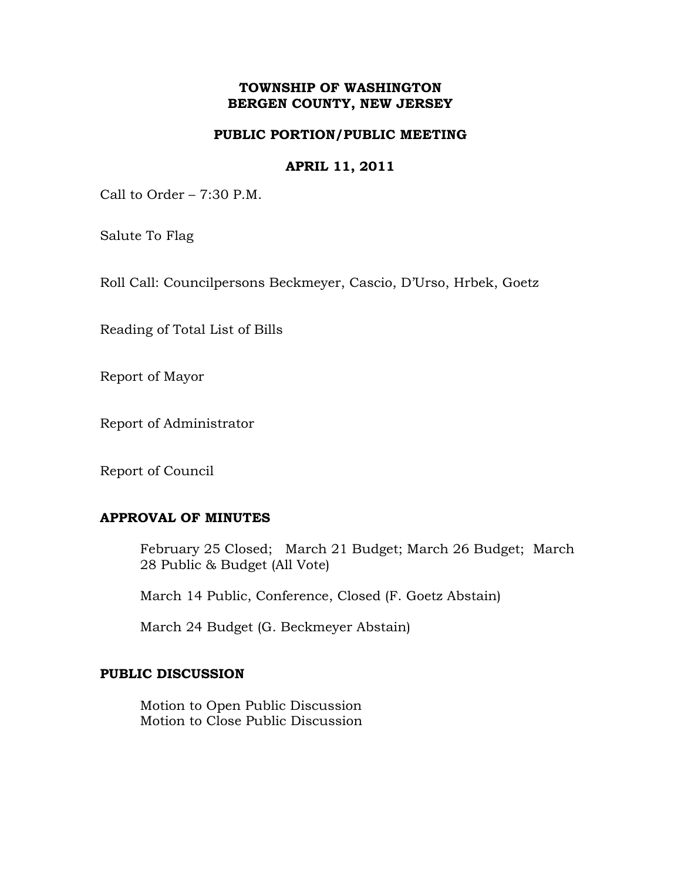## **TOWNSHIP OF WASHINGTON BERGEN COUNTY, NEW JERSEY**

## **PUBLIC PORTION/PUBLIC MEETING**

## **APRIL 11, 2011**

Call to Order – 7:30 P.M.

Salute To Flag

Roll Call: Councilpersons Beckmeyer, Cascio, D'Urso, Hrbek, Goetz

Reading of Total List of Bills

Report of Mayor

Report of Administrator

Report of Council

# **APPROVAL OF MINUTES**

February 25 Closed; March 21 Budget; March 26 Budget; March 28 Public & Budget (All Vote)

March 14 Public, Conference, Closed (F. Goetz Abstain)

March 24 Budget (G. Beckmeyer Abstain)

## **PUBLIC DISCUSSION**

Motion to Open Public Discussion Motion to Close Public Discussion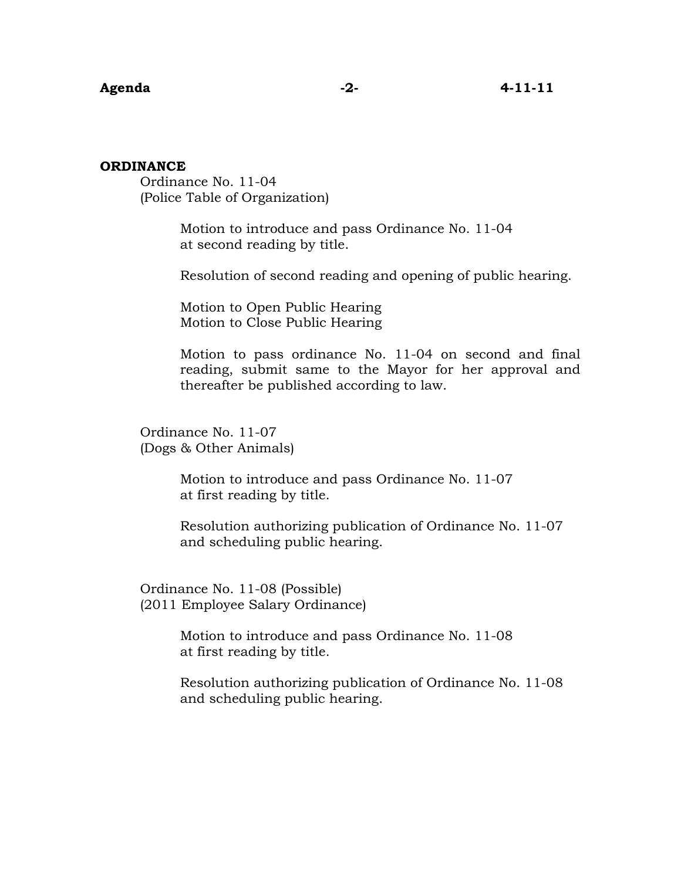#### **ORDINANCE**

Ordinance No. 11-04 (Police Table of Organization)

> Motion to introduce and pass Ordinance No. 11-04 at second reading by title.

Resolution of second reading and opening of public hearing.

 Motion to Open Public Hearing Motion to Close Public Hearing

Motion to pass ordinance No. 11-04 on second and final reading, submit same to the Mayor for her approval and thereafter be published according to law.

 Ordinance No. 11-07 (Dogs & Other Animals)

> Motion to introduce and pass Ordinance No. 11-07 at first reading by title.

 Resolution authorizing publication of Ordinance No. 11-07 and scheduling public hearing.

 Ordinance No. 11-08 (Possible) (2011 Employee Salary Ordinance)

> Motion to introduce and pass Ordinance No. 11-08 at first reading by title.

 Resolution authorizing publication of Ordinance No. 11-08 and scheduling public hearing.